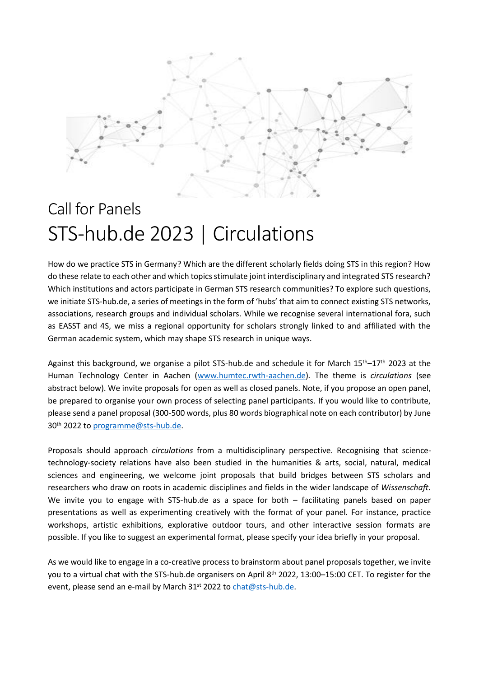

## Call for Panels STS-hub.de 2023 | Circulations

How do we practice STS in Germany? Which are the different scholarly fields doing STS in this region? How do these relate to each other and which topics stimulate joint interdisciplinary and integrated STS research? Which institutions and actors participate in German STS research communities? To explore such questions, we initiate STS-hub.de, a series of meetings in the form of 'hubs' that aim to connect existing STS networks, associations, research groups and individual scholars. While we recognise several international fora, such as EASST and 4S, we miss a regional opportunity for scholars strongly linked to and affiliated with the German academic system, which may shape STS research in unique ways.

Against this background, we organise a pilot STS-hub.de and schedule it for March 15th–17th 2023 at the Human Technology Center in Aachen [\(www.humtec.rwth-aachen.de\)](http://www.humtec.rwth-aachen.de/)*.* The theme is *circulations* (see abstract below). We invite proposals for open as well as closed panels. Note, if you propose an open panel, be prepared to organise your own process of selecting panel participants. If you would like to contribute, please send a panel proposal (300-500 words, plus 80 words biographical note on each contributor) by June 30th 2022 to [programme@sts-hub.de.](mailto:programme@sts-hub.de)

Proposals should approach *circulations* from a multidisciplinary perspective. Recognising that sciencetechnology-society relations have also been studied in the humanities & arts, social, natural, medical sciences and engineering, we welcome joint proposals that build bridges between STS scholars and researchers who draw on roots in academic disciplines and fields in the wider landscape of *Wissenschaft*. We invite you to engage with STS-hub.de as a space for both – facilitating panels based on paper presentations as well as experimenting creatively with the format of your panel. For instance, practice workshops, artistic exhibitions, explorative outdoor tours, and other interactive session formats are possible. If you like to suggest an experimental format, please specify your idea briefly in your proposal.

As we would like to engage in a co-creative process to brainstorm about panel proposals together, we invite you to a virtual chat with the STS-hub.de organisers on April 8<sup>th</sup> 2022, 13:00–15:00 CET. To register for the event, please send an e-mail by March 31<sup>st</sup> 2022 to [chat@sts-hub.de.](mailto:chat@sts-hub.de)